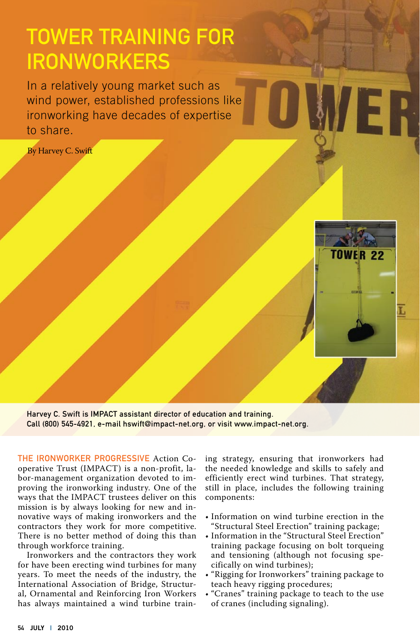## Tower Training for **IRONWORKERS**

In a relatively young market such as wind power, established professions like ironworking have decades of expertise to share.

By Harvey C. Swift



ER.

Harvey C. Swift is IMPACT assistant director of education and training. Call (800) 545-4921, e-mail hswift@impact-net.org, or visit www.impact-net.org.

The Ironworker Progressive Action Cooperative Trust (IMPACT) is a non-profit, labor-management organization devoted to improving the ironworking industry. One of the ways that the IMPACT trustees deliver on this mission is by always looking for new and innovative ways of making ironworkers and the contractors they work for more competitive. There is no better method of doing this than through workforce training.

Ironworkers and the contractors they work for have been erecting wind turbines for many years. To meet the needs of the industry, the International Association of Bridge, Structural, Ornamental and Reinforcing Iron Workers has always maintained a wind turbine train-

ing strategy, ensuring that ironworkers had the needed knowledge and skills to safely and efficiently erect wind turbines. That strategy, still in place, includes the following training components:

- Information on wind turbine erection in the "Structural Steel Erection" training package;
- Information in the "Structural Steel Erection" training package focusing on bolt torqueing and tensioning (although not focusing specifically on wind turbines);
- "Rigging for Ironworkers" training package to teach heavy rigging procedures;
- "Cranes" training package to teach to the use of cranes (including signaling).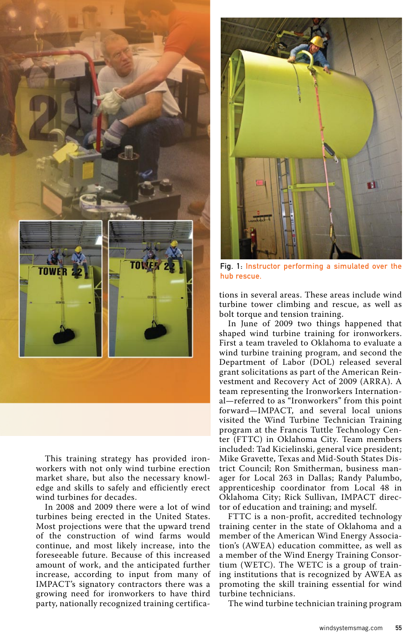

This training strategy has provided ironworkers with not only wind turbine erection market share, but also the necessary knowledge and skills to safely and efficiently erect wind turbines for decades.

In 2008 and 2009 there were a lot of wind turbines being erected in the United States. Most projections were that the upward trend of the construction of wind farms would continue, and most likely increase, into the foreseeable future. Because of this increased amount of work, and the anticipated further increase, according to input from many of IMPACT's signatory contractors there was a growing need for ironworkers to have third party, nationally recognized training certifica-



Fig. 1: Instructor performing a simulated over the hub rescue.

tions in several areas. These areas include wind turbine tower climbing and rescue, as well as bolt torque and tension training.

In June of 2009 two things happened that shaped wind turbine training for ironworkers. First a team traveled to Oklahoma to evaluate a wind turbine training program, and second the Department of Labor (DOL) released several grant solicitations as part of the American Reinvestment and Recovery Act of 2009 (ARRA). A team representing the Ironworkers International—referred to as "Ironworkers" from this point forward—IMPACT, and several local unions visited the Wind Turbine Technician Training program at the Francis Tuttle Technology Center (FTTC) in Oklahoma City. Team members included: Tad Kicielinski, general vice president; Mike Gravette, Texas and Mid-South States District Council; Ron Smitherman, business manager for Local 263 in Dallas; Randy Palumbo, apprenticeship coordinator from Local 48 in Oklahoma City; Rick Sullivan, IMPACT director of education and training; and myself.

FTTC is a non-profit, accredited technology training center in the state of Oklahoma and a member of the American Wind Energy Association's (AWEA) education committee, as well as a member of the Wind Energy Training Consortium (WETC). The WETC is a group of training institutions that is recognized by AWEA as promoting the skill training essential for wind turbine technicians.

The wind turbine technician training program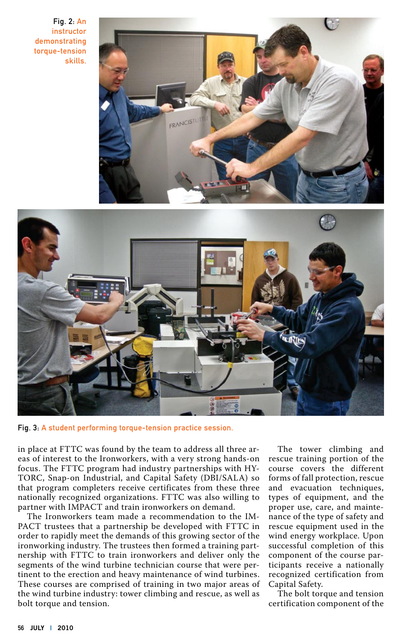Fig. 2: An instructor demonstrating torque-tension skills.





Fig. 3: A student performing torque-tension practice session.

in place at FTTC was found by the team to address all three areas of interest to the Ironworkers, with a very strong hands-on focus. The FTTC program had industry partnerships with HY-TORC, Snap-on Industrial, and Capital Safety (DBI/SALA) so that program completers receive certificates from these three nationally recognized organizations. FTTC was also willing to partner with IMPACT and train ironworkers on demand.

The Ironworkers team made a recommendation to the IM-PACT trustees that a partnership be developed with FTTC in order to rapidly meet the demands of this growing sector of the ironworking industry. The trustees then formed a training partnership with FTTC to train ironworkers and deliver only the segments of the wind turbine technician course that were pertinent to the erection and heavy maintenance of wind turbines. These courses are comprised of training in two major areas of the wind turbine industry: tower climbing and rescue, as well as bolt torque and tension.

The tower climbing and rescue training portion of the course covers the different forms of fall protection, rescue and evacuation techniques, types of equipment, and the proper use, care, and maintenance of the type of safety and rescue equipment used in the wind energy workplace. Upon successful completion of this component of the course participants receive a nationally recognized certification from Capital Safety.

The bolt torque and tension certification component of the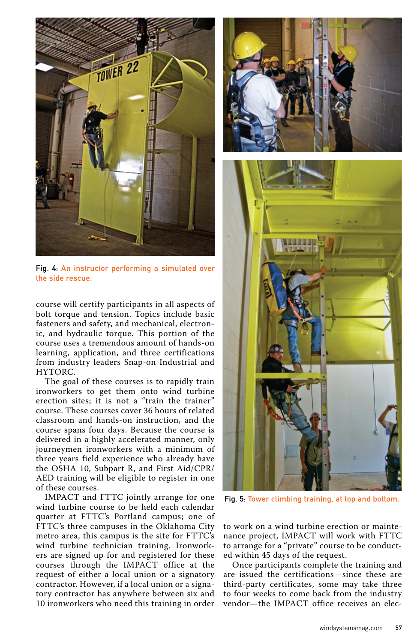

Fig. 4: An instructor performing a simulated over the side rescue.

course will certify participants in all aspects of bolt torque and tension. Topics include basic fasteners and safety, and mechanical, electronic, and hydraulic torque. This portion of the course uses a tremendous amount of hands-on learning, application, and three certifications from industry leaders Snap-on Industrial and HYTORC.

The goal of these courses is to rapidly train ironworkers to get them onto wind turbine erection sites; it is not a "train the trainer" course. These courses cover 36 hours of related classroom and hands-on instruction, and the course spans four days. Because the course is delivered in a highly accelerated manner, only journeymen ironworkers with a minimum of three years field experience who already have the OSHA 10, Subpart R, and First Aid/CPR/ AED training will be eligible to register in one of these courses.

IMPACT and FTTC jointly arrange for one wind turbine course to be held each calendar quarter at FTTC's Portland campus; one of FTTC's three campuses in the Oklahoma City metro area, this campus is the site for FTTC's wind turbine technician training. Ironworkers are signed up for and registered for these courses through the IMPACT office at the request of either a local union or a signatory contractor. However, if a local union or a signatory contractor has anywhere between six and 10 ironworkers who need this training in order





Fig. 5: Tower climbing training, at top and bottom.

to work on a wind turbine erection or maintenance project, IMPACT will work with FTTC to arrange for a "private" course to be conducted within 45 days of the request.

Once participants complete the training and are issued the certifications—since these are third-party certificates, some may take three to four weeks to come back from the industry vendor—the IMPACT office receives an elec-